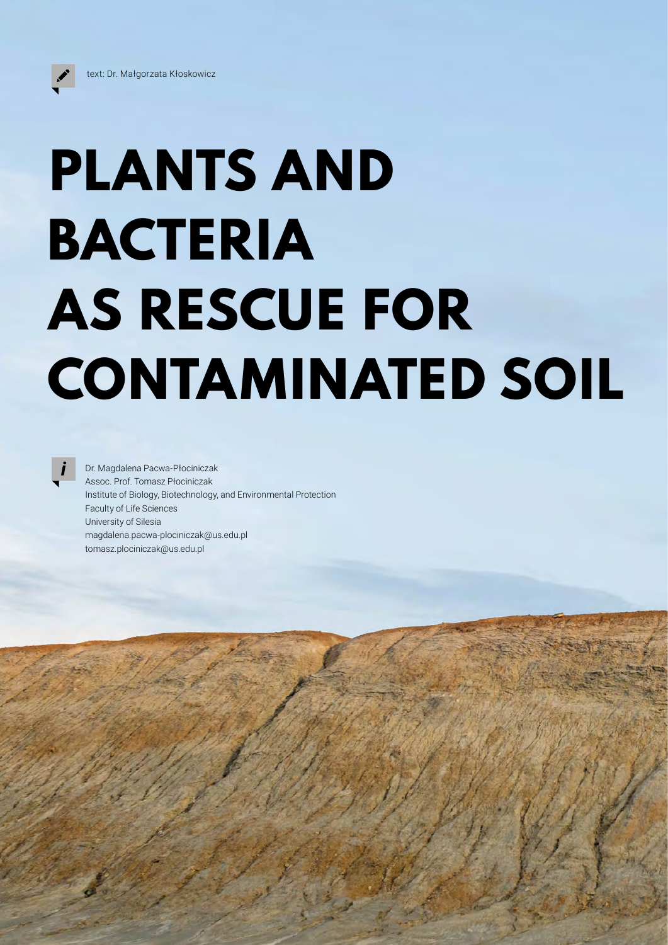## **PLANTS AND BACTERIA AS RESCUE FOR CONTAMINATED SOIL**

Dr. Magdalena Pacwa-Płociniczak Assoc. Prof. Tomasz Płociniczak Institute of Biology, Biotechnology, and Environmental Protection Faculty of Life Sciences University of Silesia magdalena.pacwa-plociniczak@us.edu.pl tomasz.plociniczak@us.edu.pl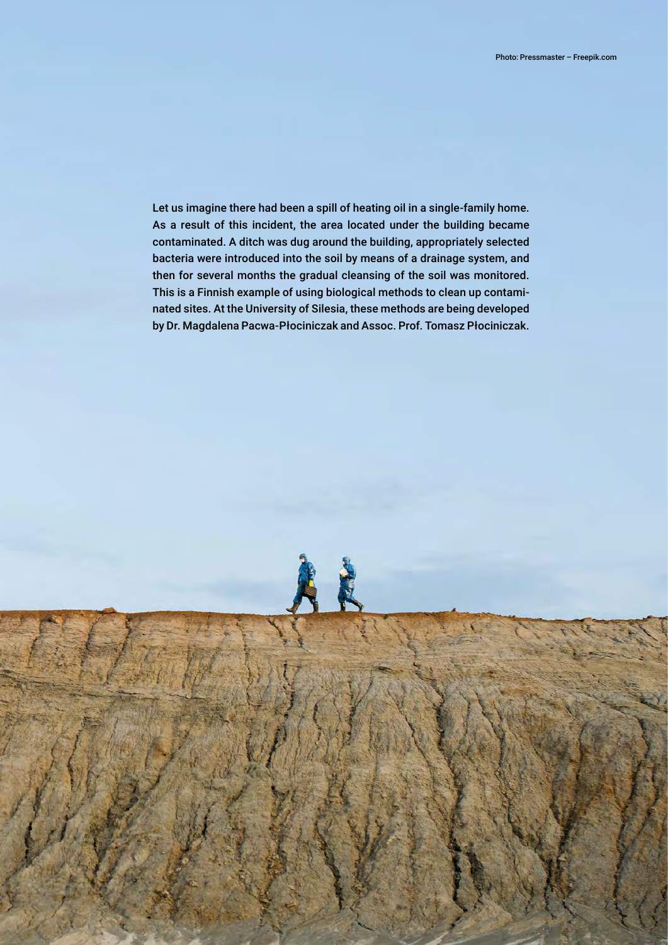Let us imagine there had been a spill of heating oil in a single-family home. As a result of this incident, the area located under the building became contaminated. A ditch was dug around the building, appropriately selected bacteria were introduced into the soil by means of a drainage system, and then for several months the gradual cleansing of the soil was monitored. This is a Finnish example of using biological methods to clean up contaminated sites. At the University of Silesia, these methods are being developed by Dr. Magdalena Pacwa-Płociniczak and Assoc. Prof. Tomasz Płociniczak.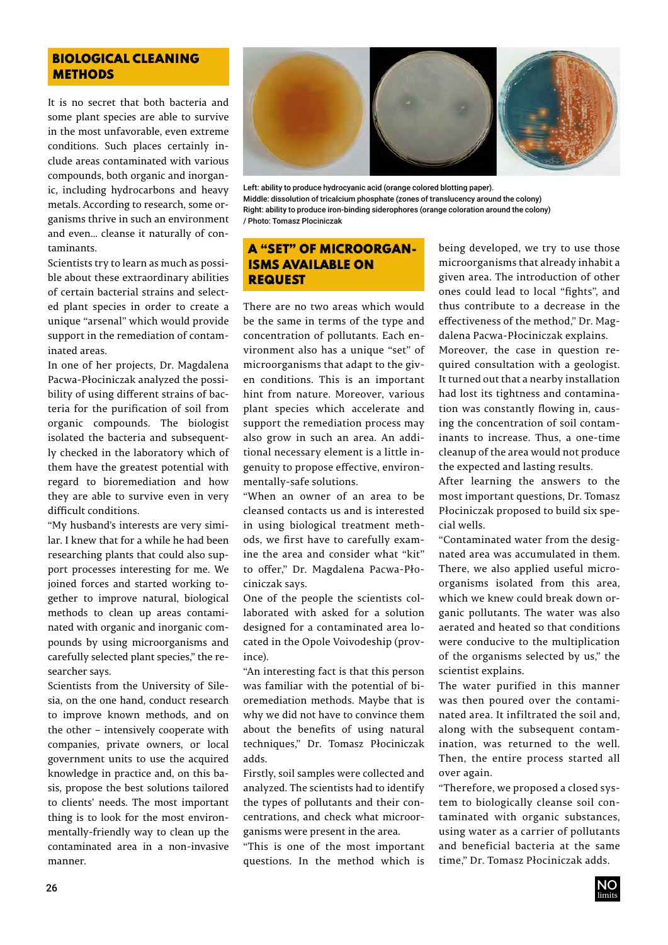## BIOLOGICAL CLEANING **METHODS**

It is no secret that both bacteria and some plant species are able to survive in the most unfavorable, even extreme conditions. Such places certainly include areas contaminated with various compounds, both organic and inorganic, including hydrocarbons and heavy metals. According to research, some organisms thrive in such an environment and even... cleanse it naturally of contaminants.

Scientists try to learn as much as possible about these extraordinary abilities of certain bacterial strains and selected plant species in order to create a unique "arsenal" which would provide support in the remediation of contaminated areas.

In one of her projects, Dr. Magdalena Pacwa-Płociniczak analyzed the possibility of using different strains of bacteria for the purification of soil from organic compounds. The biologist isolated the bacteria and subsequently checked in the laboratory which of them have the greatest potential with regard to bioremediation and how they are able to survive even in very difficult conditions.

"My husband's interests are very similar. I knew that for a while he had been researching plants that could also support processes interesting for me. We joined forces and started working together to improve natural, biological methods to clean up areas contaminated with organic and inorganic compounds by using microorganisms and carefully selected plant species," the researcher says.

Scientists from the University of Silesia, on the one hand, conduct research to improve known methods, and on the other – intensively cooperate with companies, private owners, or local government units to use the acquired knowledge in practice and, on this basis, propose the best solutions tailored to clients' needs. The most important thing is to look for the most environmentally-friendly way to clean up the contaminated area in a non-invasive manner.



Left: ability to produce hydrocyanic acid (orange colored blotting paper). Middle: dissolution of tricalcium phosphate (zones of translucency around the colony) Right: ability to produce iron-binding siderophores (orange coloration around the colony) / Photo: Tomasz Plociniczak

## A "SET" OF MICROORGAN-ISMS AVAILABLE ON **REQUEST**

There are no two areas which would be the same in terms of the type and concentration of pollutants. Each environment also has a unique "set" of microorganisms that adapt to the given conditions. This is an important hint from nature. Moreover, various plant species which accelerate and support the remediation process may also grow in such an area. An additional necessary element is a little ingenuity to propose effective, environmentally-safe solutions.

"When an owner of an area to be cleansed contacts us and is interested in using biological treatment methods, we first have to carefully examine the area and consider what "kit" to offer," Dr. Magdalena Pacwa-Płociniczak says.

One of the people the scientists collaborated with asked for a solution designed for a contaminated area located in the Opole Voivodeship (province).

"An interesting fact is that this person was familiar with the potential of bioremediation methods. Maybe that is why we did not have to convince them about the benefits of using natural techniques," Dr. Tomasz Płociniczak adds.

Firstly, soil samples were collected and analyzed. The scientists had to identify the types of pollutants and their concentrations, and check what microorganisms were present in the area.

"This is one of the most important questions. In the method which is being developed, we try to use those microorganisms that already inhabit a given area. The introduction of other ones could lead to local "fights", and thus contribute to a decrease in the effectiveness of the method," Dr. Magdalena Pacwa-Płociniczak explains.

Moreover, the case in question required consultation with a geologist. It turned out that a nearby installation had lost its tightness and contamination was constantly flowing in, causing the concentration of soil contaminants to increase. Thus, a one-time cleanup of the area would not produce the expected and lasting results.

After learning the answers to the most important questions, Dr. Tomasz Płociniczak proposed to build six special wells.

"Contaminated water from the designated area was accumulated in them. There, we also applied useful microorganisms isolated from this area, which we knew could break down organic pollutants. The water was also aerated and heated so that conditions were conducive to the multiplication of the organisms selected by us," the scientist explains.

The water purified in this manner was then poured over the contaminated area. It infiltrated the soil and, along with the subsequent contamination, was returned to the well. Then, the entire process started all over again.

"Therefore, we proposed a closed system to biologically cleanse soil contaminated with organic substances, using water as a carrier of pollutants and beneficial bacteria at the same time," Dr. Tomasz Płociniczak adds.